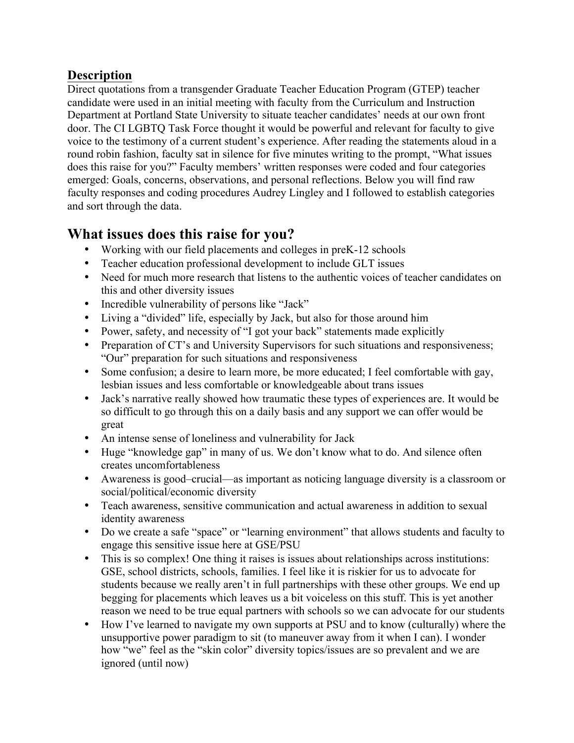## **Description**

Direct quotations from a transgender Graduate Teacher Education Program (GTEP) teacher candidate were used in an initial meeting with faculty from the Curriculum and Instruction Department at Portland State University to situate teacher candidates' needs at our own front door. The CI LGBTQ Task Force thought it would be powerful and relevant for faculty to give voice to the testimony of a current student's experience. After reading the statements aloud in a round robin fashion, faculty sat in silence for five minutes writing to the prompt, "What issues does this raise for you?" Faculty members' written responses were coded and four categories emerged: Goals, concerns, observations, and personal reflections. Below you will find raw faculty responses and coding procedures Audrey Lingley and I followed to establish categories and sort through the data.

## **What issues does this raise for you?**

- Working with our field placements and colleges in preK-12 schools
- Teacher education professional development to include GLT issues
- Need for much more research that listens to the authentic voices of teacher candidates on this and other diversity issues
- Incredible vulnerability of persons like "Jack"
- Living a "divided" life, especially by Jack, but also for those around him
- Power, safety, and necessity of "I got your back" statements made explicitly
- Preparation of CT's and University Supervisors for such situations and responsiveness; "Our" preparation for such situations and responsiveness
- Some confusion; a desire to learn more, be more educated; I feel comfortable with gay, lesbian issues and less comfortable or knowledgeable about trans issues
- Jack's narrative really showed how traumatic these types of experiences are. It would be so difficult to go through this on a daily basis and any support we can offer would be great
- An intense sense of loneliness and vulnerability for Jack
- Huge "knowledge gap" in many of us. We don't know what to do. And silence often creates uncomfortableness
- Awareness is good–crucial—as important as noticing language diversity is a classroom or social/political/economic diversity
- Teach awareness, sensitive communication and actual awareness in addition to sexual identity awareness
- Do we create a safe "space" or "learning environment" that allows students and faculty to engage this sensitive issue here at GSE/PSU
- This is so complex! One thing it raises is issues about relationships across institutions: GSE, school districts, schools, families. I feel like it is riskier for us to advocate for students because we really aren't in full partnerships with these other groups. We end up begging for placements which leaves us a bit voiceless on this stuff. This is yet another reason we need to be true equal partners with schools so we can advocate for our students
- How I've learned to navigate my own supports at PSU and to know (culturally) where the unsupportive power paradigm to sit (to maneuver away from it when I can). I wonder how "we" feel as the "skin color" diversity topics/issues are so prevalent and we are ignored (until now)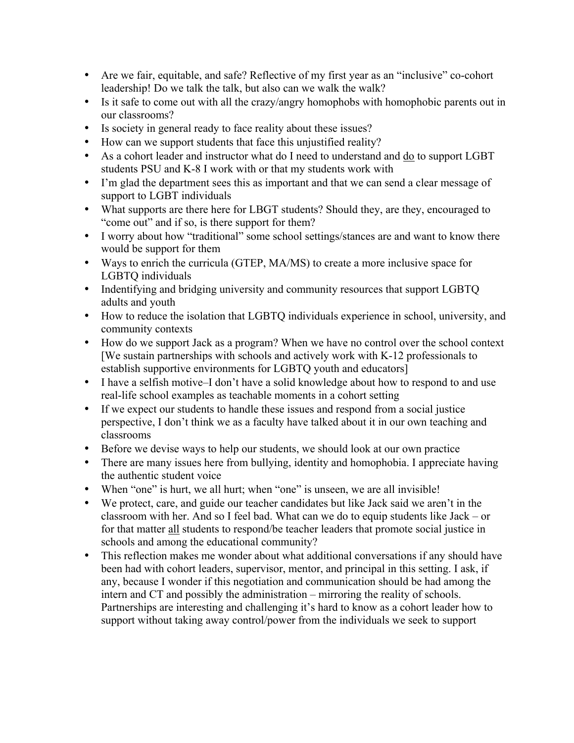- Are we fair, equitable, and safe? Reflective of my first year as an "inclusive" co-cohort leadership! Do we talk the talk, but also can we walk the walk?
- Is it safe to come out with all the crazy/angry homophobs with homophobic parents out in our classrooms?
- Is society in general ready to face reality about these issues?
- How can we support students that face this unjustified reality?
- As a cohort leader and instructor what do I need to understand and do to support LGBT students PSU and K-8 I work with or that my students work with
- I'm glad the department sees this as important and that we can send a clear message of support to LGBT individuals
- What supports are there here for LBGT students? Should they, are they, encouraged to "come out" and if so, is there support for them?
- I worry about how "traditional" some school settings/stances are and want to know there would be support for them
- Ways to enrich the curricula (GTEP, MA/MS) to create a more inclusive space for LGBTQ individuals
- Indentifying and bridging university and community resources that support LGBTQ adults and youth
- How to reduce the isolation that LGBTQ individuals experience in school, university, and community contexts
- How do we support Jack as a program? When we have no control over the school context [We sustain partnerships with schools and actively work with K-12 professionals to establish supportive environments for LGBTQ youth and educators]
- I have a selfish motive–I don't have a solid knowledge about how to respond to and use real-life school examples as teachable moments in a cohort setting
- If we expect our students to handle these issues and respond from a social justice perspective, I don't think we as a faculty have talked about it in our own teaching and classrooms
- Before we devise ways to help our students, we should look at our own practice
- There are many issues here from bullying, identity and homophobia. I appreciate having the authentic student voice
- When "one" is hurt, we all hurt; when "one" is unseen, we are all invisible!
- We protect, care, and guide our teacher candidates but like Jack said we aren't in the classroom with her. And so I feel bad. What can we do to equip students like Jack – or for that matter all students to respond/be teacher leaders that promote social justice in schools and among the educational community?
- This reflection makes me wonder about what additional conversations if any should have been had with cohort leaders, supervisor, mentor, and principal in this setting. I ask, if any, because I wonder if this negotiation and communication should be had among the intern and CT and possibly the administration – mirroring the reality of schools. Partnerships are interesting and challenging it's hard to know as a cohort leader how to support without taking away control/power from the individuals we seek to support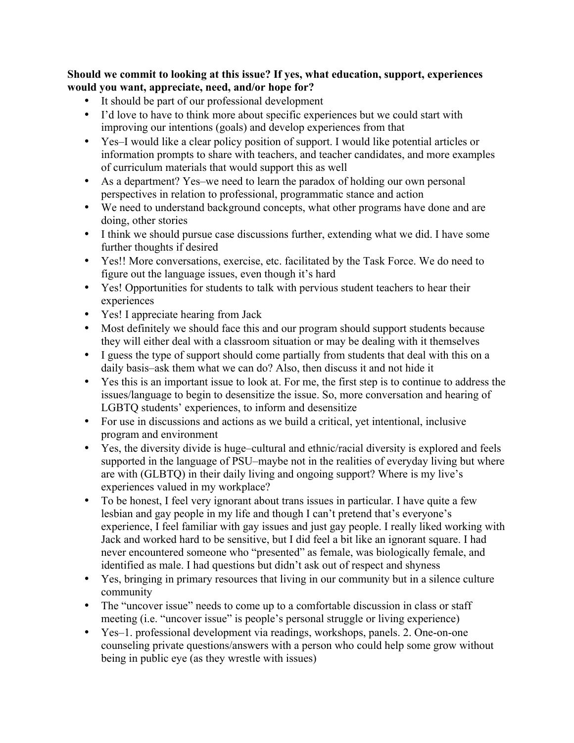**Should we commit to looking at this issue? If yes, what education, support, experiences would you want, appreciate, need, and/or hope for?**

- It should be part of our professional development
- I'd love to have to think more about specific experiences but we could start with improving our intentions (goals) and develop experiences from that
- Yes–I would like a clear policy position of support. I would like potential articles or information prompts to share with teachers, and teacher candidates, and more examples of curriculum materials that would support this as well
- As a department? Yes–we need to learn the paradox of holding our own personal perspectives in relation to professional, programmatic stance and action
- We need to understand background concepts, what other programs have done and are doing, other stories
- I think we should pursue case discussions further, extending what we did. I have some further thoughts if desired
- Yes!! More conversations, exercise, etc. facilitated by the Task Force. We do need to figure out the language issues, even though it's hard
- Yes! Opportunities for students to talk with pervious student teachers to hear their experiences
- Yes! I appreciate hearing from Jack
- Most definitely we should face this and our program should support students because they will either deal with a classroom situation or may be dealing with it themselves
- I guess the type of support should come partially from students that deal with this on a daily basis–ask them what we can do? Also, then discuss it and not hide it
- Yes this is an important issue to look at. For me, the first step is to continue to address the issues/language to begin to desensitize the issue. So, more conversation and hearing of LGBTQ students' experiences, to inform and desensitize
- For use in discussions and actions as we build a critical, yet intentional, inclusive program and environment
- Yes, the diversity divide is huge–cultural and ethnic/racial diversity is explored and feels supported in the language of PSU–maybe not in the realities of everyday living but where are with (GLBTQ) in their daily living and ongoing support? Where is my live's experiences valued in my workplace?
- To be honest, I feel very ignorant about trans issues in particular. I have quite a few lesbian and gay people in my life and though I can't pretend that's everyone's experience, I feel familiar with gay issues and just gay people. I really liked working with Jack and worked hard to be sensitive, but I did feel a bit like an ignorant square. I had never encountered someone who "presented" as female, was biologically female, and identified as male. I had questions but didn't ask out of respect and shyness
- Yes, bringing in primary resources that living in our community but in a silence culture community
- The "uncover issue" needs to come up to a comfortable discussion in class or staff meeting (i.e. "uncover issue" is people's personal struggle or living experience)
- Yes–1. professional development via readings, workshops, panels. 2. One-on-one counseling private questions/answers with a person who could help some grow without being in public eye (as they wrestle with issues)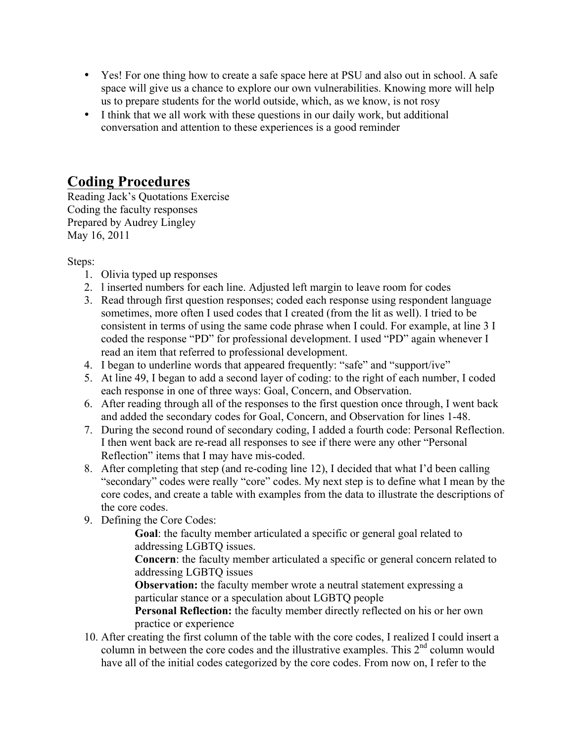- Yes! For one thing how to create a safe space here at PSU and also out in school. A safe space will give us a chance to explore our own vulnerabilities. Knowing more will help us to prepare students for the world outside, which, as we know, is not rosy
- I think that we all work with these questions in our daily work, but additional conversation and attention to these experiences is a good reminder

## **Coding Procedures**

Reading Jack's Quotations Exercise Coding the faculty responses Prepared by Audrey Lingley May 16, 2011

Steps:

- 1. Olivia typed up responses
- 2. l inserted numbers for each line. Adjusted left margin to leave room for codes
- 3. Read through first question responses; coded each response using respondent language sometimes, more often I used codes that I created (from the lit as well). I tried to be consistent in terms of using the same code phrase when I could. For example, at line 3 I coded the response "PD" for professional development. I used "PD" again whenever I read an item that referred to professional development.
- 4. I began to underline words that appeared frequently: "safe" and "support/ive"
- 5. At line 49, I began to add a second layer of coding: to the right of each number, I coded each response in one of three ways: Goal, Concern, and Observation.
- 6. After reading through all of the responses to the first question once through, I went back and added the secondary codes for Goal, Concern, and Observation for lines 1-48.
- 7. During the second round of secondary coding, I added a fourth code: Personal Reflection. I then went back are re-read all responses to see if there were any other "Personal Reflection" items that I may have mis-coded.
- 8. After completing that step (and re-coding line 12), I decided that what I'd been calling "secondary" codes were really "core" codes. My next step is to define what I mean by the core codes, and create a table with examples from the data to illustrate the descriptions of the core codes.
- 9. Defining the Core Codes:

**Goal**: the faculty member articulated a specific or general goal related to addressing LGBTQ issues.

**Concern**: the faculty member articulated a specific or general concern related to addressing LGBTQ issues

**Observation:** the faculty member wrote a neutral statement expressing a particular stance or a speculation about LGBTQ people

**Personal Reflection:** the faculty member directly reflected on his or her own practice or experience

10. After creating the first column of the table with the core codes, I realized I could insert a column in between the core codes and the illustrative examples. This 2<sup>nd</sup> column would have all of the initial codes categorized by the core codes. From now on, I refer to the